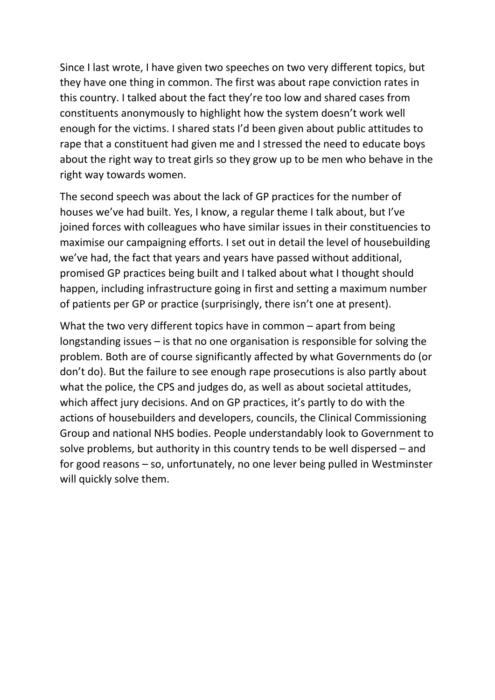Since I last wrote, I have given two speeches on two very different topics, but they have one thing in common. The first was about rape conviction rates in this country. I talked about the fact they're too low and shared cases from constituents anonymously to highlight how the system doesn't work well enough for the victims. I shared stats I'd been given about public attitudes to rape that a constituent had given me and I stressed the need to educate boys about the right way to treat girls so they grow up to be men who behave in the right way towards women.

The second speech was about the lack of GP practices for the number of houses we've had built. Yes, I know, a regular theme I talk about, but I've joined forces with colleagues who have similar issues in their constituencies to maximise our campaigning efforts. I set out in detail the level of housebuilding we've had, the fact that years and years have passed without additional, promised GP practices being built and I talked about what I thought should happen, including infrastructure going in first and setting a maximum number of patients per GP or practice (surprisingly, there isn't one at present).

What the two very different topics have in common – apart from being longstanding issues – is that no one organisation is responsible for solving the problem. Both are of course significantly affected by what Governments do (or don't do). But the failure to see enough rape prosecutions is also partly about what the police, the CPS and judges do, as well as about societal attitudes, which affect jury decisions. And on GP practices, it's partly to do with the actions of housebuilders and developers, councils, the Clinical Commissioning Group and national NHS bodies. People understandably look to Government to solve problems, but authority in this country tends to be well dispersed – and for good reasons – so, unfortunately, no one lever being pulled in Westminster will quickly solve them.